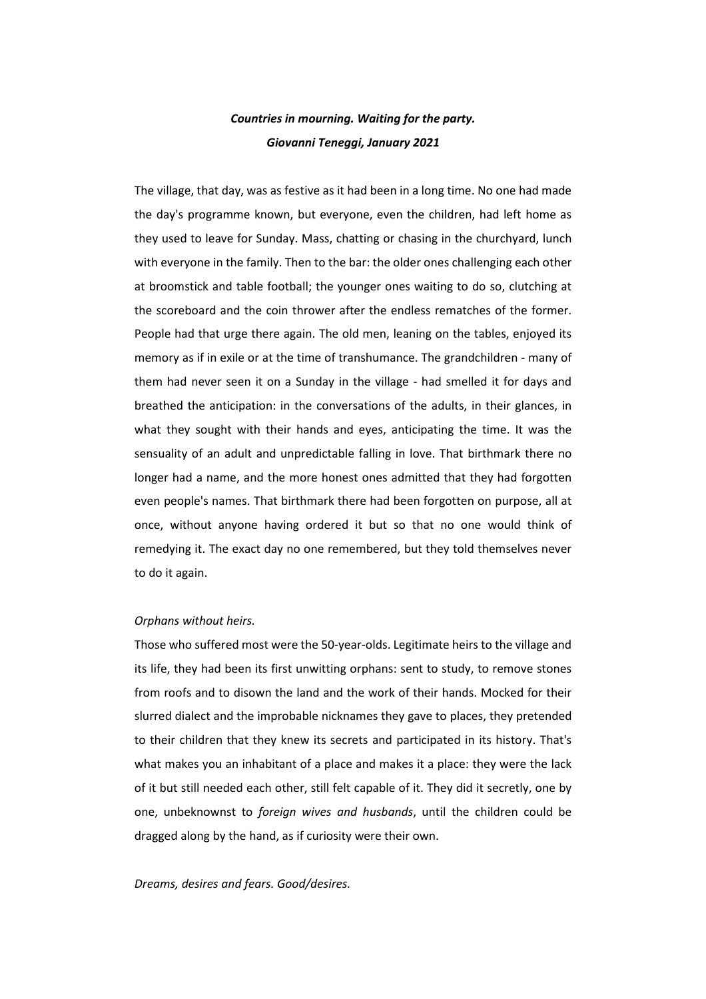# *Countries in mourning. Waiting for the party. Giovanni Teneggi, January 2021*

The village, that day, was as festive as it had been in a long time. No one had made the day's programme known, but everyone, even the children, had left home as they used to leave for Sunday. Mass, chatting or chasing in the churchyard, lunch with everyone in the family. Then to the bar: the older ones challenging each other at broomstick and table football; the younger ones waiting to do so, clutching at the scoreboard and the coin thrower after the endless rematches of the former. People had that urge there again. The old men, leaning on the tables, enjoyed its memory as if in exile or at the time of transhumance. The grandchildren - many of them had never seen it on a Sunday in the village - had smelled it for days and breathed the anticipation: in the conversations of the adults, in their glances, in what they sought with their hands and eyes, anticipating the time. It was the sensuality of an adult and unpredictable falling in love. That birthmark there no longer had a name, and the more honest ones admitted that they had forgotten even people's names. That birthmark there had been forgotten on purpose, all at once, without anyone having ordered it but so that no one would think of remedying it. The exact day no one remembered, but they told themselves never to do it again.

### *Orphans without heirs.*

Those who suffered most were the 50-year-olds. Legitimate heirs to the village and its life, they had been its first unwitting orphans: sent to study, to remove stones from roofs and to disown the land and the work of their hands. Mocked for their slurred dialect and the improbable nicknames they gave to places, they pretended to their children that they knew its secrets and participated in its history. That's what makes you an inhabitant of a place and makes it a place: they were the lack of it but still needed each other, still felt capable of it. They did it secretly, one by one, unbeknownst to *foreign wives and husbands*, until the children could be dragged along by the hand, as if curiosity were their own.

# *Dreams, desires and fears. Good/desires.*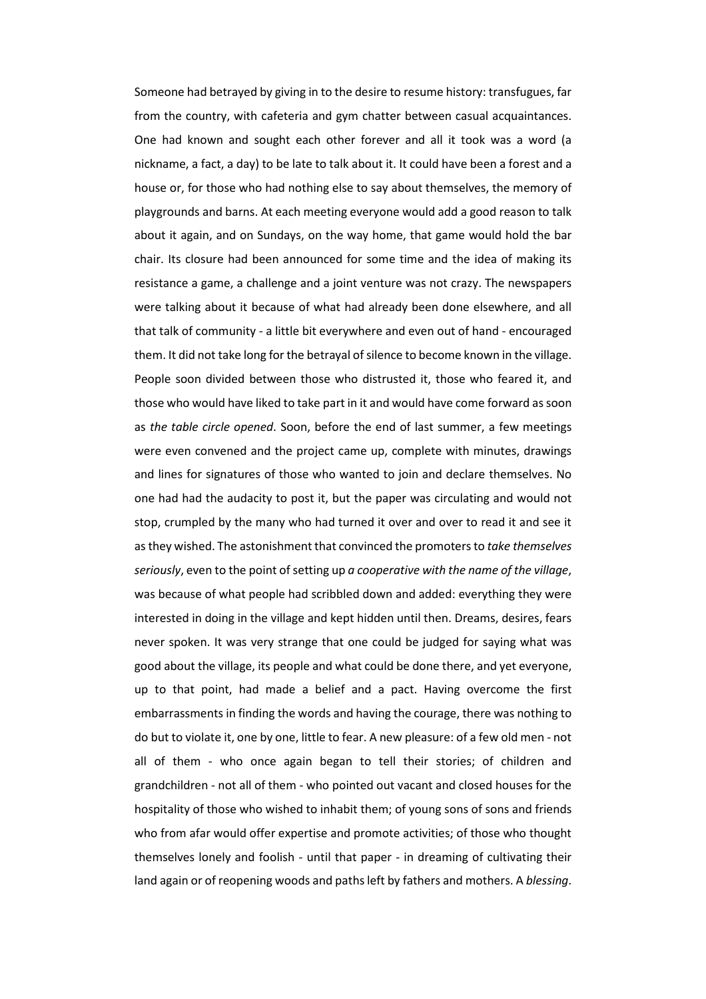Someone had betrayed by giving in to the desire to resume history: transfugues, far from the country, with cafeteria and gym chatter between casual acquaintances. One had known and sought each other forever and all it took was a word (a nickname, a fact, a day) to be late to talk about it. It could have been a forest and a house or, for those who had nothing else to say about themselves, the memory of playgrounds and barns. At each meeting everyone would add a good reason to talk about it again, and on Sundays, on the way home, that game would hold the bar chair. Its closure had been announced for some time and the idea of making its resistance a game, a challenge and a joint venture was not crazy. The newspapers were talking about it because of what had already been done elsewhere, and all that talk of community - a little bit everywhere and even out of hand - encouraged them. It did not take long for the betrayal of silence to become known in the village. People soon divided between those who distrusted it, those who feared it, and those who would have liked to take part in it and would have come forward as soon as *the table circle opened*. Soon, before the end of last summer, a few meetings were even convened and the project came up, complete with minutes, drawings and lines for signatures of those who wanted to join and declare themselves. No one had had the audacity to post it, but the paper was circulating and would not stop, crumpled by the many who had turned it over and over to read it and see it as they wished. The astonishment that convinced the promoters to *take themselves seriously*, even to the point of setting up *a cooperative with the name of the village*, was because of what people had scribbled down and added: everything they were interested in doing in the village and kept hidden until then. Dreams, desires, fears never spoken. It was very strange that one could be judged for saying what was good about the village, its people and what could be done there, and yet everyone, up to that point, had made a belief and a pact. Having overcome the first embarrassments in finding the words and having the courage, there was nothing to do but to violate it, one by one, little to fear. A new pleasure: of a few old men - not all of them - who once again began to tell their stories; of children and grandchildren - not all of them - who pointed out vacant and closed houses for the hospitality of those who wished to inhabit them; of young sons of sons and friends who from afar would offer expertise and promote activities; of those who thought themselves lonely and foolish - until that paper - in dreaming of cultivating their land again or of reopening woods and paths left by fathers and mothers. A *blessing*.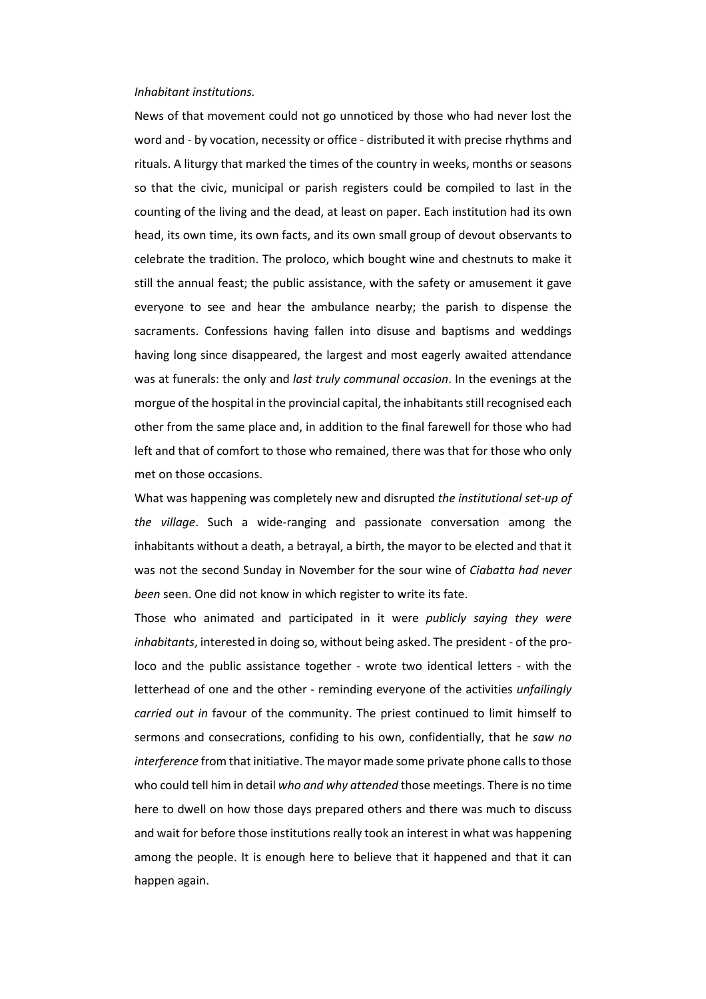#### *Inhabitant institutions.*

News of that movement could not go unnoticed by those who had never lost the word and - by vocation, necessity or office - distributed it with precise rhythms and rituals. A liturgy that marked the times of the country in weeks, months or seasons so that the civic, municipal or parish registers could be compiled to last in the counting of the living and the dead, at least on paper. Each institution had its own head, its own time, its own facts, and its own small group of devout observants to celebrate the tradition. The proloco, which bought wine and chestnuts to make it still the annual feast; the public assistance, with the safety or amusement it gave everyone to see and hear the ambulance nearby; the parish to dispense the sacraments. Confessions having fallen into disuse and baptisms and weddings having long since disappeared, the largest and most eagerly awaited attendance was at funerals: the only and *last truly communal occasion*. In the evenings at the morgue of the hospital in the provincial capital, the inhabitants still recognised each other from the same place and, in addition to the final farewell for those who had left and that of comfort to those who remained, there was that for those who only met on those occasions.

What was happening was completely new and disrupted *the institutional set-up of the village*. Such a wide-ranging and passionate conversation among the inhabitants without a death, a betrayal, a birth, the mayor to be elected and that it was not the second Sunday in November for the sour wine of *Ciabatta had never been* seen. One did not know in which register to write its fate.

Those who animated and participated in it were *publicly saying they were inhabitants*, interested in doing so, without being asked. The president - of the proloco and the public assistance together - wrote two identical letters - with the letterhead of one and the other - reminding everyone of the activities *unfailingly carried out in* favour of the community. The priest continued to limit himself to sermons and consecrations, confiding to his own, confidentially, that he *saw no interference* from that initiative. The mayor made some private phone calls to those who could tell him in detail *who and why attended* those meetings. There is no time here to dwell on how those days prepared others and there was much to discuss and wait for before those institutions really took an interest in what was happening among the people. It is enough here to believe that it happened and that it can happen again.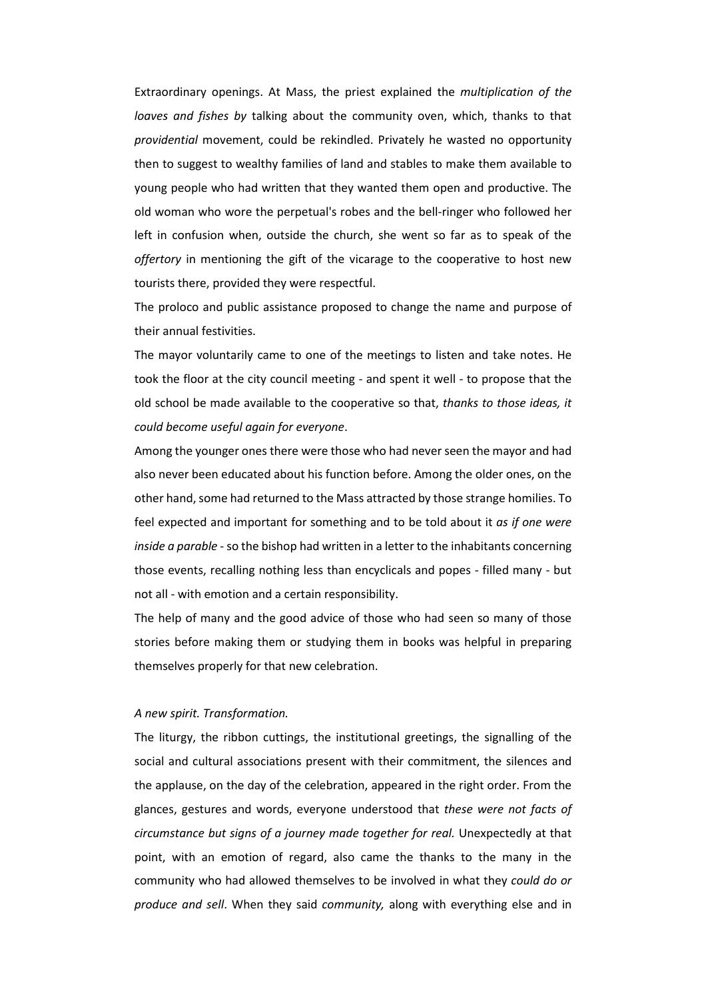Extraordinary openings. At Mass, the priest explained the *multiplication of the loaves and fishes by* talking about the community oven, which, thanks to that *providential* movement, could be rekindled. Privately he wasted no opportunity then to suggest to wealthy families of land and stables to make them available to young people who had written that they wanted them open and productive. The old woman who wore the perpetual's robes and the bell-ringer who followed her left in confusion when, outside the church, she went so far as to speak of the *offertory* in mentioning the gift of the vicarage to the cooperative to host new tourists there, provided they were respectful.

The proloco and public assistance proposed to change the name and purpose of their annual festivities.

The mayor voluntarily came to one of the meetings to listen and take notes. He took the floor at the city council meeting - and spent it well - to propose that the old school be made available to the cooperative so that, *thanks to those ideas, it could become useful again for everyone*.

Among the younger ones there were those who had never seen the mayor and had also never been educated about his function before. Among the older ones, on the other hand, some had returned to the Mass attracted by those strange homilies. To feel expected and important for something and to be told about it *as if one were inside a parable* - so the bishop had written in a letter to the inhabitants concerning those events, recalling nothing less than encyclicals and popes - filled many - but not all - with emotion and a certain responsibility.

The help of many and the good advice of those who had seen so many of those stories before making them or studying them in books was helpful in preparing themselves properly for that new celebration.

## *A new spirit. Transformation.*

The liturgy, the ribbon cuttings, the institutional greetings, the signalling of the social and cultural associations present with their commitment, the silences and the applause, on the day of the celebration, appeared in the right order. From the glances, gestures and words, everyone understood that *these were not facts of circumstance but signs of a journey made together for real.* Unexpectedly at that point, with an emotion of regard, also came the thanks to the many in the community who had allowed themselves to be involved in what they *could do or produce and sell*. When they said *community,* along with everything else and in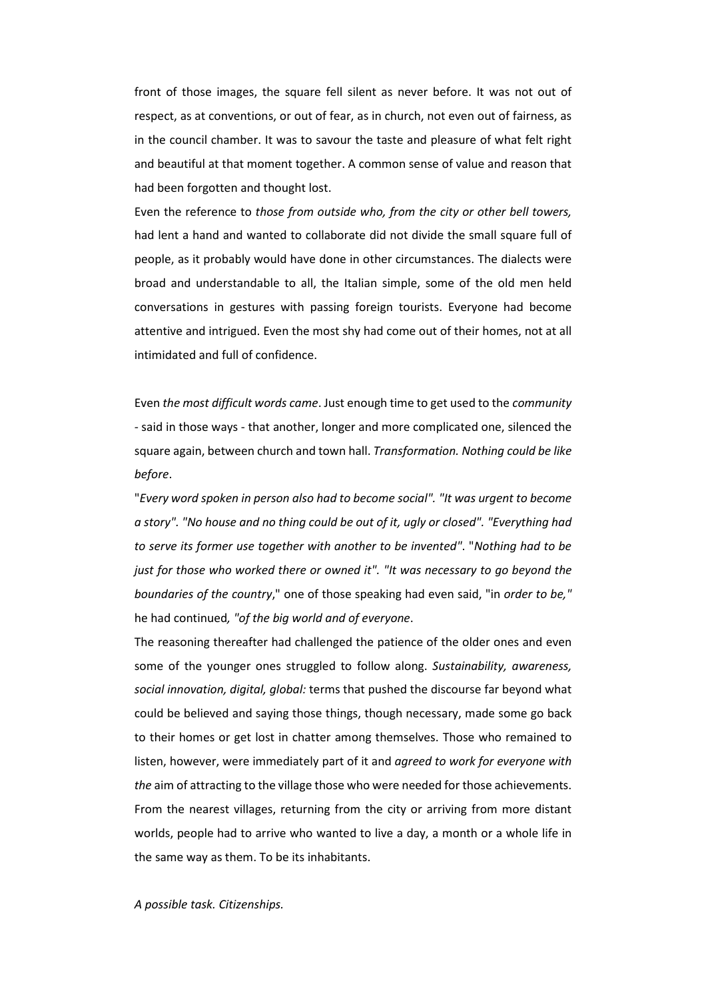front of those images, the square fell silent as never before. It was not out of respect, as at conventions, or out of fear, as in church, not even out of fairness, as in the council chamber. It was to savour the taste and pleasure of what felt right and beautiful at that moment together. A common sense of value and reason that had been forgotten and thought lost.

Even the reference to *those from outside who, from the city or other bell towers,*  had lent a hand and wanted to collaborate did not divide the small square full of people, as it probably would have done in other circumstances. The dialects were broad and understandable to all, the Italian simple, some of the old men held conversations in gestures with passing foreign tourists. Everyone had become attentive and intrigued. Even the most shy had come out of their homes, not at all intimidated and full of confidence.

Even *the most difficult words came*. Just enough time to get used to the *community -* said in those ways - that another, longer and more complicated one, silenced the square again, between church and town hall. *Transformation. Nothing could be like before*.

"*Every word spoken in person also had to become social". "It was urgent to become a story". "No house and no thing could be out of it, ugly or closed". "Everything had to serve its former use together with another to be invented"*. "*Nothing had to be just for those who worked there or owned it". "It was necessary to go beyond the boundaries of the country*," one of those speaking had even said, "in *order to be,"*  he had continued*, "of the big world and of everyone*.

The reasoning thereafter had challenged the patience of the older ones and even some of the younger ones struggled to follow along. *Sustainability, awareness, social innovation, digital, global:* terms that pushed the discourse far beyond what could be believed and saying those things, though necessary, made some go back to their homes or get lost in chatter among themselves. Those who remained to listen, however, were immediately part of it and *agreed to work for everyone with the* aim of attracting to the village those who were needed for those achievements. From the nearest villages, returning from the city or arriving from more distant worlds, people had to arrive who wanted to live a day, a month or a whole life in the same way as them. To be its inhabitants.

*A possible task. Citizenships.*